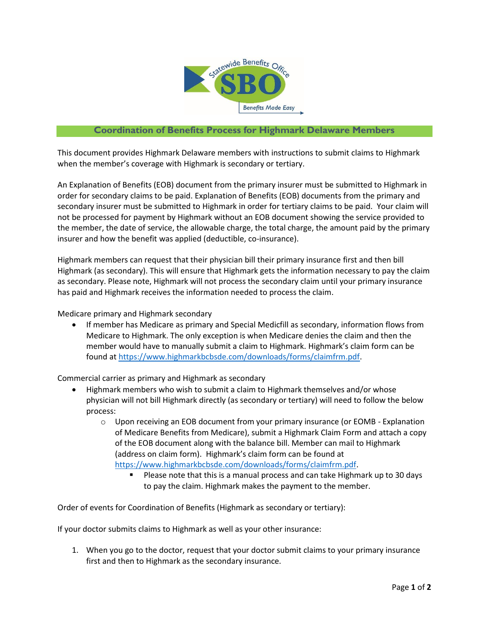

## **Coordination of Benefits Process for Highmark Delaware Members**

This document provides Highmark Delaware members with instructions to submit claims to Highmark when the member's coverage with Highmark is secondary or tertiary.

An Explanation of Benefits (EOB) document from the primary insurer must be submitted to Highmark in order for secondary claims to be paid. Explanation of Benefits (EOB) documents from the primary and secondary insurer must be submitted to Highmark in order for tertiary claims to be paid. Your claim will not be processed for payment by Highmark without an EOB document showing the service provided to the member, the date of service, the allowable charge, the total charge, the amount paid by the primary insurer and how the benefit was applied (deductible, co-insurance).

Highmark members can request that their physician bill their primary insurance first and then bill Highmark (as secondary). This will ensure that Highmark gets the information necessary to pay the claim as secondary. Please note, Highmark will not process the secondary claim until your primary insurance has paid and Highmark receives the information needed to process the claim.

Medicare primary and Highmark secondary

 If member has Medicare as primary and Special Medicfill as secondary, information flows from Medicare to Highmark. The only exception is when Medicare denies the claim and then the member would have to manually submit a claim to Highmark. Highmark's claim form can be found a[t https://www.highmarkbcbsde.com/downloads/forms/claimfrm.pdf.](https://www.highmarkbcbsde.com/downloads/forms/claimfrm.pdf)

Commercial carrier as primary and Highmark as secondary

- Highmark members who wish to submit a claim to Highmark themselves and/or whose physician will not bill Highmark directly (as secondary or tertiary) will need to follow the below process:
	- $\circ$  Upon receiving an EOB document from your primary insurance (or EOMB Explanation of Medicare Benefits from Medicare), submit a Highmark Claim Form and attach a copy of the EOB document along with the balance bill. Member can mail to Highmark (address on claim form). Highmark's claim form can be found at [https://www.highmarkbcbsde.com/downloads/forms/claimfrm.pdf.](https://www.highmarkbcbsde.com/downloads/forms/claimfrm.pdf)
		- **Please note that this is a manual process and can take Highmark up to 30 days** to pay the claim. Highmark makes the payment to the member.

Order of events for Coordination of Benefits (Highmark as secondary or tertiary):

If your doctor submits claims to Highmark as well as your other insurance:

1. When you go to the doctor, request that your doctor submit claims to your primary insurance first and then to Highmark as the secondary insurance.